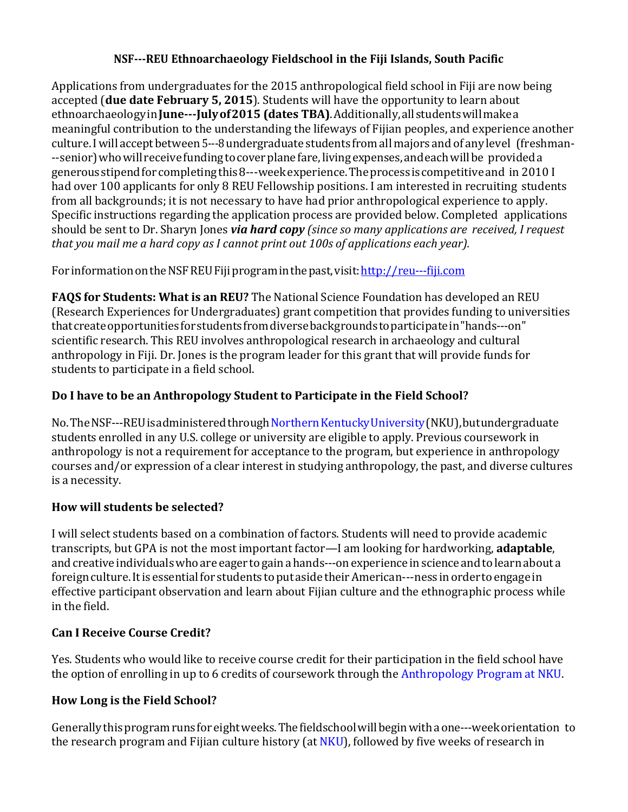### **NSF---REU Ethnoarchaeology Fieldschool in the Fiji Islands, South Pacific**

Applications from undergraduates for the 2015 anthropological field school in Fiji are now being accepted (**due date February 5, 2015**). Students will have the opportunity to learn about ethnoarchaeology in **June---July of 2015 (dates TBA)**. Additionally, all students will make a meaningful contribution to the understanding the lifeways of Fijian peoples, and experience another culture. I will accept between 5---8 undergraduate students from all majors and of any level (freshman---senior) who will receive funding to cover plane fare, living expenses, and each will be provided a generousstipendforcompletingthis8---weekexperience.Theprocessiscompetitiveand in 2010 I had over 100 applicants for only 8 REU Fellowship positions. I am interested in recruiting students from all backgrounds; it is not necessary to have had prior anthropological experience to apply. Specific instructions regarding the application process are provided below. Completed applications should be sent to Dr. Sharyn Jones *via hard copy (since so many applications are received, I request that you mail me a hard copy as I cannot print out 100s of applications each year).*

For information on the NSF REU Fiji program in the past, visit: http://reu---fiji.com

**FAQS for Students: What is an REU?** The National Science Foundation has developed an REU (Research Experiences for Undergraduates) grant competition that provides funding to universities thatcreateopportunitiesforstudentsfromdiversebackgroundstoparticipatein"hands---on" scientific research. This REU involves anthropological research in archaeology and cultural anthropology in Fiji. Dr. Jones is the program leader for this grant that will provide funds for students to participate in a field school.

### **Do I have to be an Anthropology Student to Participate in the Field School?**

No.TheNSF---REU is administered through Northern Kentucky University (NKU), but undergraduate students enrolled in any U.S. college or university are eligible to apply. Previous coursework in anthropology is not a requirement for acceptance to the program, but experience in anthropology courses and/or expression of a clear interest in studying anthropology, the past, and diverse cultures is a necessity.

## **How will students be selected?**

I will select students based on a combination of factors. Students will need to provide academic transcripts, but GPA is not the most important factor—I am looking for hardworking, **adaptable**, and creative individuals who are eager to gain a hands---on experience in science and to learn about a foreign culture. It is essential for students to put aside their American---ness in order to engage in effective participant observation and learn about Fijian culture and the ethnographic process while in the field.

#### **Can I Receive Course Credit?**

Yes. Students who would like to receive course credit for their participation in the field school have the option of enrolling in up to 6 credits of coursework through the Anthropology Program at NKU.

## **How Long is the Field School?**

Generally this program runs for eight weeks. The fieldschool will begin with a one---week orientation to the research program and Fijian culture history (at NKU), followed by five weeks of research in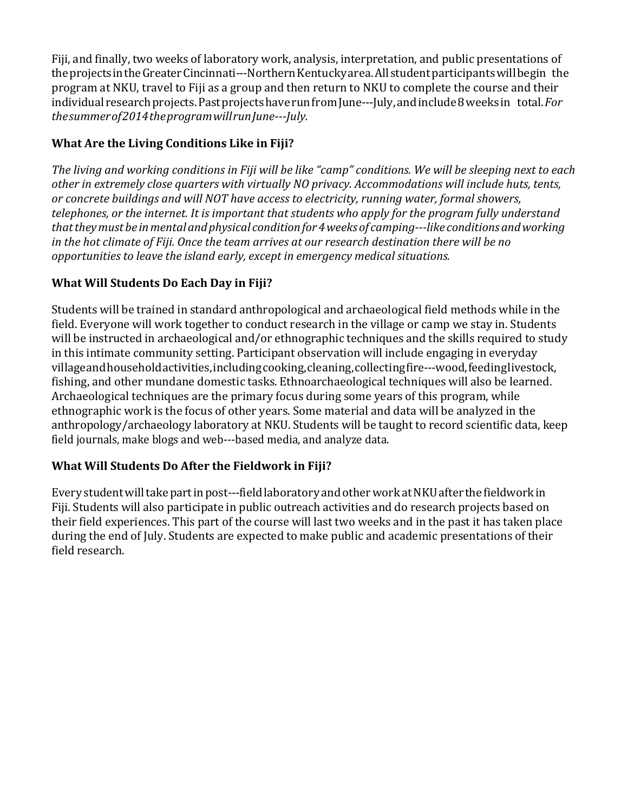Fiji, and finally, two weeks of laboratory work, analysis, interpretation, and public presentations of the projects in the Greater Cincinnati---Northern Kentucky area. All student participants will begin the program at NKU, travel to Fiji as a group and then return to NKU to complete the course and their individual researchprojects.PastprojectshaverunfromJune---July,andinclude8weeksin total.*For thesummerof2014theprogramwillrunJune---July.*

# **What Are the Living Conditions Like in Fiji?**

The living and working conditions in Fiji will be like "camp" conditions. We will be sleeping next to each *other in extremely close quarters with virtually NO privacy. Accommodations will include huts, tents, or concrete buildings and will NOT have access to electricity, running water, formal showers, telephones, or the internet. It is important that students who apply for the program fully understand thattheymustbe inmentalandphysical conditionfor4weeksof camping---like conditionsandworking in the hot climate of Fiji. Once the team arrives at our research destination there will be no opportunities to leave the island early, except in emergency medical situations.*

# **What Will Students Do Each Day in Fiji?**

Students will be trained in standard anthropological and archaeological field methods while in the field. Everyone will work together to conduct research in the village or camp we stay in. Students will be instructed in archaeological and/or ethnographic techniques and the skills required to study in this intimate community setting. Participant observation will include engaging in everyday villageandhouseholdactivities,includingcooking,cleaning,collectingfire---wood,feedinglivestock, fishing, and other mundane domestic tasks. Ethnoarchaeological techniques will also be learned. Archaeological techniques are the primary focus during some years of this program, while ethnographic work is the focus of other years. Some material and data will be analyzed in the anthropology/archaeology laboratory at NKU. Students will be taught to record scientific data, keep field journals, make blogs and web---based media, and analyze data.

## **What Will Students Do After the Fieldwork in Fiji?**

Every student will take part in post---field laboratory and other work at NKU after the fieldwork in Fiji. Students will also participate in public outreach activities and do research projects based on their field experiences. This part of the course will last two weeks and in the past it has taken place during the end of July. Students are expected to make public and academic presentations of their field research.